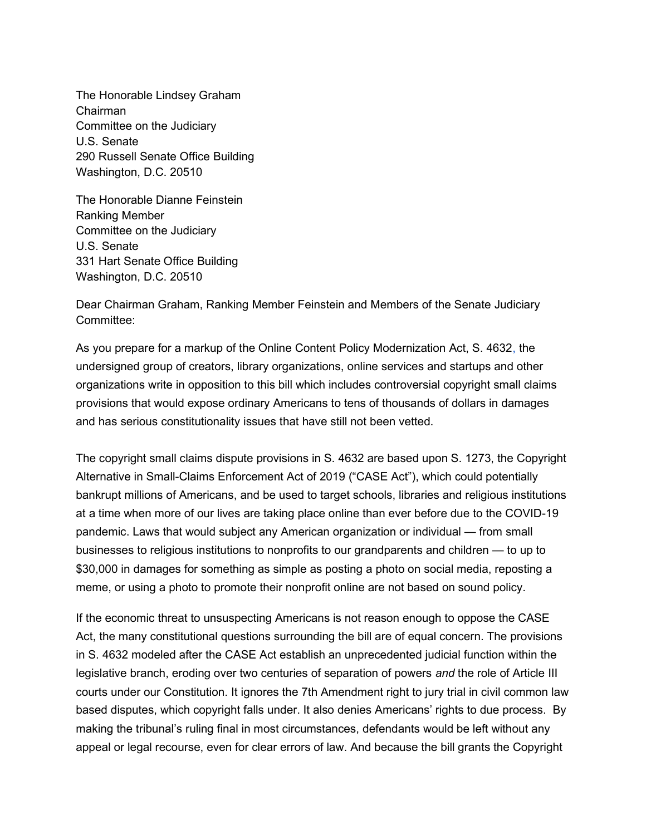The Honorable Lindsey Graham Chairman Committee on the Judiciary U.S. Senate 290 Russell Senate Office Building Washington, D.C. 20510

The Honorable Dianne Feinstein Ranking Member Committee on the Judiciary U.S. Senate 331 Hart Senate Office Building Washington, D.C. 20510

Dear Chairman Graham, Ranking Member Feinstein and Members of the Senate Judiciary Committee:

As you prepare for a markup of the Online Content Policy Modernization Act, S. 4632, the undersigned group of creators, library organizations, online services and startups and other organizations write in opposition to this bill which includes controversial copyright small claims provisions that would expose ordinary Americans to tens of thousands of dollars in damages and has serious constitutionality issues that have still not been vetted.

The copyright small claims dispute provisions in S. 4632 are based upon S. 1273, the Copyright Alternative in Small-Claims Enforcement Act of 2019 ("CASE Act"), which could potentially bankrupt millions of Americans, and be used to target schools, libraries and religious institutions at a time when more of our lives are taking place online than ever before due to the COVID-19 pandemic. Laws that would subject any American organization or individual — from small businesses to religious institutions to nonprofits to our grandparents and children — to up to \$30,000 in damages for something as simple as posting a photo on social media, reposting a meme, or using a photo to promote their nonprofit online are not based on sound policy.

If the economic threat to unsuspecting Americans is not reason enough to oppose the CASE Act, the many constitutional questions surrounding the bill are of equal concern. The provisions in S. 4632 modeled after the CASE Act establish an unprecedented judicial function within the legislative branch, eroding over two centuries of separation of powers and the role of Article III courts under our Constitution. It ignores the 7th Amendment right to jury trial in civil common law based disputes, which copyright falls under. It also denies Americans' rights to due process. By making the tribunal's ruling final in most circumstances, defendants would be left without any appeal or legal recourse, even for clear errors of law. And because the bill grants the Copyright